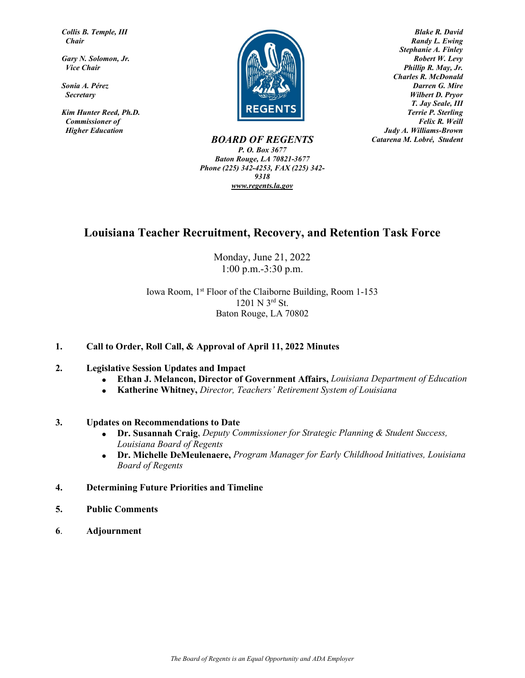*Collis B. Temple, III Chair*

*Gary N. Solomon, Jr. Vice Chair*

*Sonia A. Pérez Secretary*

*Kim Hunter Reed, Ph.D. Commissioner of Higher Education*



 *Blake R. David Randy L. Ewing Stephanie A. Finley Robert W. Levy Phillip R. May, Jr. Charles R. McDonald Darren G. Mire Wilbert D. Pryor T. Jay Seale, III Terrie P. Sterling Felix R. Weill Judy A. Williams-Brown Catarena M. Lobré, Student* 

*BOARD OF REGENTS P. O. Box 3677 Baton Rouge, LA 70821-3677 Phone (225) 342-4253, FAX (225) 342- 9318 [www.regents.la.gov](http://www.regents.state.la.us/)*

### **Louisiana Teacher Recruitment, Recovery, and Retention Task Force**

Monday, June 21, 2022 1:00 p.m.-3:30 p.m.

Iowa Room, 1st Floor of the Claiborne Building, Room 1-153 1201 N 3rd St. Baton Rouge, LA 70802

### **1. Call to Order, Roll Call, & Approval of April 11, 2022 Minutes**

#### **2. Legislative Session Updates and Impact**

- **Ethan J. Melancon, Director of Government Affairs,** *Louisiana Department of Education*
- **Katherine Whitney,** *Director, Teachers' Retirement System of Louisiana*

#### **3. Updates on Recommendations to Date**

- **Dr. Susannah Craig**, *Deputy Commissioner for Strategic Planning & Student Success, Louisiana Board of Regents*
- **Dr. Michelle DeMeulenaere,** *Program Manager for Early Childhood Initiatives, Louisiana Board of Regents*
- **4. Determining Future Priorities and Timeline**
- **5. Public Comments**
- **6**. **Adjournment**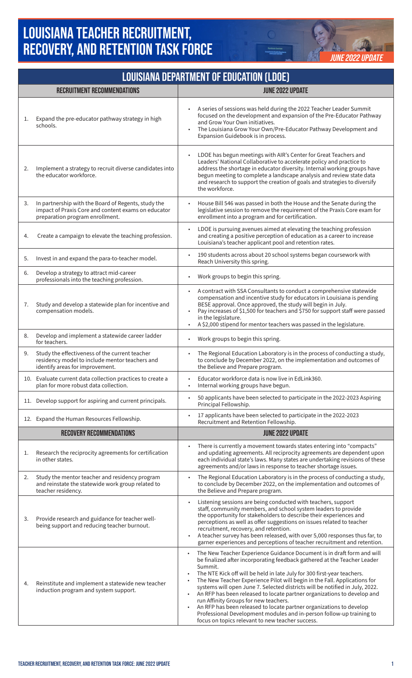## **LOUISIANA TEACHER RECRUITMENT, RECOVERY, AND RETENTION TASK FORCE**



| <b>LOUISIANA DEPARTMENT OF EDUCATION (LDOE)</b> |                                                                                                                                               |                                                                                                                                                                                                                                                                                                                                                                                                                                                                                                                                                                                                                                                                                                                              |  |
|-------------------------------------------------|-----------------------------------------------------------------------------------------------------------------------------------------------|------------------------------------------------------------------------------------------------------------------------------------------------------------------------------------------------------------------------------------------------------------------------------------------------------------------------------------------------------------------------------------------------------------------------------------------------------------------------------------------------------------------------------------------------------------------------------------------------------------------------------------------------------------------------------------------------------------------------------|--|
|                                                 | <b>RECRUITMENT RECOMMENDATIONS</b>                                                                                                            | <b>JUNE 2022 UPDATE</b>                                                                                                                                                                                                                                                                                                                                                                                                                                                                                                                                                                                                                                                                                                      |  |
| 1.                                              | Expand the pre-educator pathway strategy in high<br>schools.                                                                                  | A series of sessions was held during the 2022 Teacher Leader Summit<br>focused on the development and expansion of the Pre-Educator Pathway<br>and Grow Your Own initiatives.<br>The Louisiana Grow Your Own/Pre-Educator Pathway Development and<br>$\bullet$<br>Expansion Guidebook is in process.                                                                                                                                                                                                                                                                                                                                                                                                                         |  |
| 2.                                              | Implement a strategy to recruit diverse candidates into<br>the educator workforce.                                                            | LDOE has begun meetings with AIR's Center for Great Teachers and<br>Leaders' National Collaborative to accelerate policy and practice to<br>address the shortage in educator diversity. Internal working groups have<br>begun meeting to complete a landscape analysis and review state data<br>and research to support the creation of goals and strategies to diversify<br>the workforce.                                                                                                                                                                                                                                                                                                                                  |  |
| 3.                                              | In partnership with the Board of Regents, study the<br>impact of Praxis Core and content exams on educator<br>preparation program enrollment. | House Bill 546 was passed in both the House and the Senate during the<br>legislative session to remove the requirement of the Praxis Core exam for<br>enrollment into a program and for certification.                                                                                                                                                                                                                                                                                                                                                                                                                                                                                                                       |  |
| 4.                                              | Create a campaign to elevate the teaching profession.                                                                                         | LDOE is pursuing avenues aimed at elevating the teaching profession<br>and creating a positive perception of education as a career to increase<br>Louisiana's teacher applicant pool and retention rates.                                                                                                                                                                                                                                                                                                                                                                                                                                                                                                                    |  |
| 5.                                              | Invest in and expand the para-to-teacher model.                                                                                               | 190 students across about 20 school systems began coursework with<br>Reach University this spring.                                                                                                                                                                                                                                                                                                                                                                                                                                                                                                                                                                                                                           |  |
| 6.                                              | Develop a strategy to attract mid-career<br>professionals into the teaching profession.                                                       | Work groups to begin this spring.                                                                                                                                                                                                                                                                                                                                                                                                                                                                                                                                                                                                                                                                                            |  |
| 7.                                              | Study and develop a statewide plan for incentive and<br>compensation models.                                                                  | A contract with SSA Consultants to conduct a comprehensive statewide<br>$\bullet$<br>compensation and incentive study for educators in Louisiana is pending<br>BESE approval. Once approved, the study will begin in July.<br>Pay increases of \$1,500 for teachers and \$750 for support staff were passed<br>$\bullet$<br>in the legislature.<br>A \$2,000 stipend for mentor teachers was passed in the legislature.                                                                                                                                                                                                                                                                                                      |  |
| 8.                                              | Develop and implement a statewide career ladder<br>for teachers.                                                                              | Work groups to begin this spring.<br>٠                                                                                                                                                                                                                                                                                                                                                                                                                                                                                                                                                                                                                                                                                       |  |
| 9.                                              | Study the effectiveness of the current teacher<br>residency model to include mentor teachers and<br>identify areas for improvement.           | The Regional Education Laboratory is in the process of conducting a study,<br>to conclude by December 2022, on the implementation and outcomes of<br>the Believe and Prepare program.                                                                                                                                                                                                                                                                                                                                                                                                                                                                                                                                        |  |
|                                                 | 10. Evaluate current data collection practices to create a<br>plan for more robust data collection.                                           | Educator workforce data is now live in EdLink360.<br>Internal working groups have begun.                                                                                                                                                                                                                                                                                                                                                                                                                                                                                                                                                                                                                                     |  |
|                                                 | 11. Develop support for aspiring and current principals.                                                                                      | 50 applicants have been selected to participate in the 2022-2023 Aspiring<br>٠<br>Principal Fellowship.                                                                                                                                                                                                                                                                                                                                                                                                                                                                                                                                                                                                                      |  |
|                                                 | 12. Expand the Human Resources Fellowship.                                                                                                    | 17 applicants have been selected to participate in the 2022-2023<br>Recruitment and Retention Fellowship.                                                                                                                                                                                                                                                                                                                                                                                                                                                                                                                                                                                                                    |  |
|                                                 | <b>RECOVERY RECOMMENDATIONS</b>                                                                                                               | <b>JUNE 2022 UPDATE</b>                                                                                                                                                                                                                                                                                                                                                                                                                                                                                                                                                                                                                                                                                                      |  |
| 1.                                              | Research the reciprocity agreements for certification<br>in other states.                                                                     | There is currently a movement towards states entering into "compacts"<br>and updating agreements. All reciprocity agreements are dependent upon<br>each individual state's laws. Many states are undertaking revisions of these<br>agreements and/or laws in response to teacher shortage issues.                                                                                                                                                                                                                                                                                                                                                                                                                            |  |
| 2.                                              | Study the mentor teacher and residency program<br>and reinstate the statewide work group related to<br>teacher residency.                     | The Regional Education Laboratory is in the process of conducting a study,<br>to conclude by December 2022, on the implementation and outcomes of<br>the Believe and Prepare program.                                                                                                                                                                                                                                                                                                                                                                                                                                                                                                                                        |  |
| 3.                                              | Provide research and guidance for teacher well-<br>being support and reducing teacher burnout.                                                | Listening sessions are being conducted with teachers, support<br>staff, community members, and school system leaders to provide<br>the opportunity for stakeholders to describe their experiences and<br>perceptions as well as offer suggestions on issues related to teacher<br>recruitment, recovery, and retention.<br>A teacher survey has been released, with over 5,000 responses thus far, to<br>garner experiences and perceptions of teacher recruitment and retention.                                                                                                                                                                                                                                            |  |
| 4.                                              | Reinstitute and implement a statewide new teacher<br>induction program and system support.                                                    | The New Teacher Experience Guidance Document is in draft form and will<br>be finalized after incorporating feedback gathered at the Teacher Leader<br>Summit.<br>The NTE Kick off will be held in late July for 300 first-year teachers.<br>The New Teacher Experience Pilot will begin in the Fall. Applications for<br>systems will open June 7. Selected districts will be notified in July, 2022.<br>An RFP has been released to locate partner organizations to develop and<br>run Affinity Groups for new teachers.<br>An RFP has been released to locate partner organizations to develop<br>Professional Development modules and in-person follow-up training to<br>focus on topics relevant to new teacher success. |  |